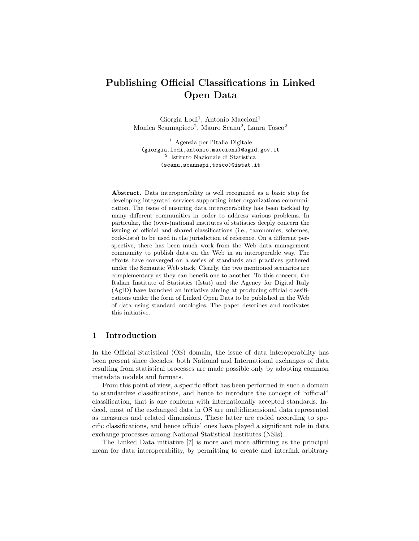# Publishing Official Classifications in Linked Open Data

Giorgia Lodi<sup>1</sup>, Antonio Maccioni<sup>1</sup> Monica Scannapieco<sup>2</sup>, Mauro Scanu<sup>2</sup>, Laura Tosco<sup>2</sup>

<sup>1</sup> Agenzia per l'Italia Digitale (giorgia.lodi,antonio.maccioni)@agid.gov.it 2 Istituto Nazionale di Statistica (scanu,scannapi,tosco)@istat.it

Abstract. Data interoperability is well recognized as a basic step for developing integrated services supporting inter-organizations communication. The issue of ensuring data interoperability has been tackled by many different communities in order to address various problems. In particular, the (over-)national institutes of statistics deeply concern the issuing of official and shared classifications (i.e., taxonomies, schemes, code-lists) to be used in the jurisdiction of reference. On a different perspective, there has been much work from the Web data management community to publish data on the Web in an interoperable way. The efforts have converged on a series of standards and practices gathered under the Semantic Web stack. Clearly, the two mentioned scenarios are complementary as they can benefit one to another. To this concern, the Italian Institute of Statistics (Istat) and the Agency for Digital Italy (AgID) have launched an initiative aiming at producing official classifications under the form of Linked Open Data to be published in the Web of data using standard ontologies. The paper describes and motivates this initiative.

#### 1 Introduction

In the Official Statistical (OS) domain, the issue of data interoperability has been present since decades: both National and International exchanges of data resulting from statistical processes are made possible only by adopting common metadata models and formats.

From this point of view, a specific effort has been performed in such a domain to standardize classifications, and hence to introduce the concept of "official" classification, that is one conform with internationally accepted standards. Indeed, most of the exchanged data in OS are multidimensional data represented as measures and related dimensions. These latter are coded according to specific classifications, and hence official ones have played a significant role in data exchange processes among National Statistical Institutes (NSIs).

The Linked Data initiative [7] is more and more affirming as the principal mean for data interoperability, by permitting to create and interlink arbitrary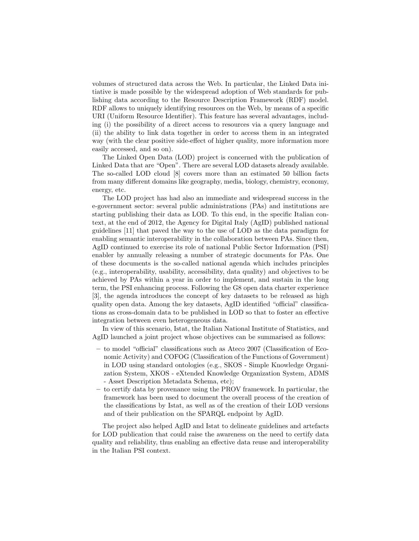volumes of structured data across the Web. In particular, the Linked Data initiative is made possible by the widespread adoption of Web standards for publishing data according to the Resource Description Framework (RDF) model. RDF allows to uniquely identifying resources on the Web, by means of a specific URI (Uniform Resource Identifier). This feature has several advantages, including (i) the possibility of a direct access to resources via a query language and (ii) the ability to link data together in order to access them in an integrated way (with the clear positive side-effect of higher quality, more information more easily accessed, and so on).

The Linked Open Data (LOD) project is concerned with the publication of Linked Data that are "Open". There are several LOD datasets already available. The so-called LOD cloud [8] covers more than an estimated 50 billion facts from many different domains like geography, media, biology, chemistry, economy, energy, etc.

The LOD project has had also an immediate and widespread success in the e-government sector: several public administrations (PAs) and institutions are starting publishing their data as LOD. To this end, in the specific Italian context, at the end of 2012, the Agency for Digital Italy (AgID) published national guidelines [11] that paved the way to the use of LOD as the data paradigm for enabling semantic interoperability in the collaboration between PAs. Since then, AgID continued to exercise its role of national Public Sector Information (PSI) enabler by annually releasing a number of strategic documents for PAs. One of these documents is the so-called national agenda which includes principles (e.g., interoperability, usability, accessibility, data quality) and objectives to be achieved by PAs within a year in order to implement, and sustain in the long term, the PSI enhancing process. Following the G8 open data charter experience [3], the agenda introduces the concept of key datasets to be released as high quality open data. Among the key datasets, AgID identified "official" classifications as cross-domain data to be published in LOD so that to foster an effective integration between even heterogeneous data.

In view of this scenario, Istat, the Italian National Institute of Statistics, and AgID launched a joint project whose objectives can be summarised as follows:

- to model "official" classifications such as Ateco 2007 (Classification of Economic Activity) and COFOG (Classification of the Functions of Government) in LOD using standard ontologies (e.g., SKOS - Simple Knowledge Organization System, XKOS - eXtended Knowledge Organization System, ADMS - Asset Description Metadata Schema, etc);
- to certify data by provenance using the PROV framework. In particular, the framework has been used to document the overall process of the creation of the classifications by Istat, as well as of the creation of their LOD versions and of their publication on the SPARQL endpoint by AgID.

The project also helped AgID and Istat to delineate guidelines and artefacts for LOD publication that could raise the awareness on the need to certify data quality and reliability, thus enabling an effective data reuse and interoperability in the Italian PSI context.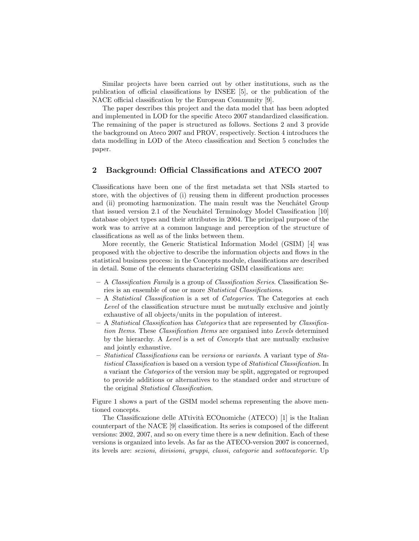Similar projects have been carried out by other institutions, such as the publication of official classifications by INSEE [5], or the publication of the NACE official classification by the European Community [9].

The paper describes this project and the data model that has been adopted and implemented in LOD for the specific Ateco 2007 standardized classification. The remaining of the paper is structured as follows. Sections 2 and 3 provide the background on Ateco 2007 and PROV, respectively. Section 4 introduces the data modelling in LOD of the Ateco classification and Section 5 concludes the paper.

## 2 Background: Official Classifications and ATECO 2007

Classifications have been one of the first metadata set that NSIs started to store, with the objectives of (i) reusing them in different production processes and (ii) promoting harmonization. The main result was the Neuchâtel Group that issued version 2.1 of the Neuchâtel Terminology Model Classification  $[10]$ database object types and their attributes in 2004. The principal purpose of the work was to arrive at a common language and perception of the structure of classifications as well as of the links between them.

More recently, the Generic Statistical Information Model (GSIM) [4] was proposed with the objective to describe the information objects and flows in the statistical business process: in the Concepts module, classifications are described in detail. Some of the elements characterizing GSIM classifications are:

- A Classification Family is a group of Classification Series. Classification Series is an ensemble of one or more Statistical Classifications.
- $A$  *Statistical Classification* is a set of *Categories*. The Categories at each Level of the classification structure must be mutually exclusive and jointly exhaustive of all objects/units in the population of interest.
- A Statistical Classification has Categories that are represented by Classification Items. These Classification Items are organised into Levels determined by the hierarchy. A Level is a set of Concepts that are mutually exclusive and jointly exhaustive.
- Statistical Classifications can be versions or variants. A variant type of Statistical Classification is based on a version type of Statistical Classification. In a variant the Categories of the version may be split, aggregated or regrouped to provide additions or alternatives to the standard order and structure of the original Statistical Classification.

Figure 1 shows a part of the GSIM model schema representing the above mentioned concepts.

The Classificazione delle ATtivit`a ECOnomiche (ATECO) [1] is the Italian counterpart of the NACE [9] classification. Its series is composed of the different versions: 2002, 2007, and so on every time there is a new definition. Each of these versions is organized into levels. As far as the ATECO-version 2007 is concerned, its levels are: sezioni, divisioni, gruppi, classi, categorie and sottocategorie. Up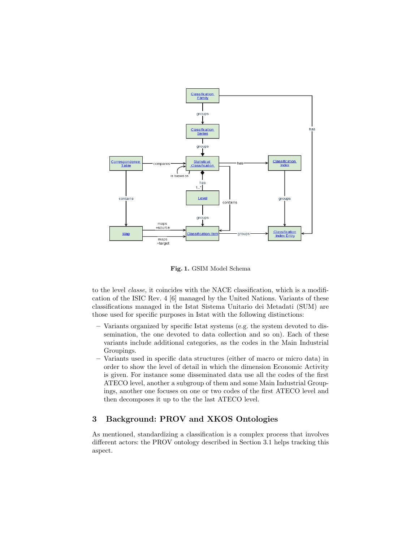

Fig. 1. GSIM Model Schema

to the level classe, it coincides with the NACE classification, which is a modification of the ISIC Rev. 4 [6] managed by the United Nations. Variants of these classifications managed in the Istat Sistema Unitario dei Metadati (SUM) are those used for specific purposes in Istat with the following distinctions:

- Variants organized by specific Istat systems (e.g. the system devoted to dissemination, the one devoted to data collection and so on). Each of these variants include additional categories, as the codes in the Main Industrial Groupings.
- Variants used in specific data structures (either of macro or micro data) in order to show the level of detail in which the dimension Economic Activity is given. For instance some disseminated data use all the codes of the first ATECO level, another a subgroup of them and some Main Industrial Groupings, another one focuses on one or two codes of the first ATECO level and then decomposes it up to the the last ATECO level.

# 3 Background: PROV and XKOS Ontologies

As mentioned, standardizing a classification is a complex process that involves different actors: the PROV ontology described in Section 3.1 helps tracking this aspect.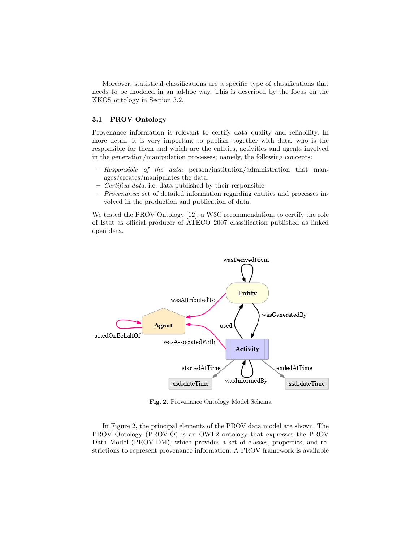Moreover, statistical classifications are a specific type of classifications that needs to be modeled in an ad-hoc way. This is described by the focus on the XKOS ontology in Section 3.2.

## 3.1 PROV Ontology

Provenance information is relevant to certify data quality and reliability. In more detail, it is very important to publish, together with data, who is the responsible for them and which are the entities, activities and agents involved in the generation/manipulation processes; namely, the following concepts:

- $-$  Responsible of the data: person/institution/administration that manages/creates/manipulates the data.
- Certified data: i.e. data published by their responsible.
- Provenance: set of detailed information regarding entities and processes involved in the production and publication of data.

We tested the PROV Ontology [12], a W3C recommendation, to certify the role of Istat as official producer of ATECO 2007 classification published as linked open data.



Fig. 2. Provenance Ontology Model Schema

In Figure 2, the principal elements of the PROV data model are shown. The PROV Ontology (PROV-O) is an OWL2 ontology that expresses the PROV Data Model (PROV-DM), which provides a set of classes, properties, and restrictions to represent provenance information. A PROV framework is available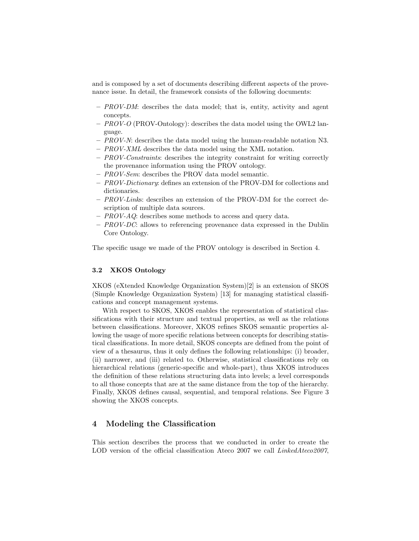and is composed by a set of documents describing different aspects of the provenance issue. In detail, the framework consists of the following documents:

- $-$  PROV-DM: describes the data model; that is, entity, activity and agent concepts.
- PROV-O (PROV-Ontology): describes the data model using the OWL2 language.
- $-$  PROV-N: describes the data model using the human-readable notation N3.
- PROV-XML describes the data model using the XML notation.
- PROV-Constraints: describes the integrity constraint for writing correctly the provenance information using the PROV ontology.
- PROV-Sem: describes the PROV data model semantic.
- $-$  PROV-Dictionary: defines an extension of the PROV-DM for collections and dictionaries.
- PROV-Links: describes an extension of the PROV-DM for the correct description of multiple data sources.
- $-$  PROV-AQ: describes some methods to access and query data.
- PROV-DC: allows to referencing provenance data expressed in the Dublin Core Ontology.

The specific usage we made of the PROV ontology is described in Section 4.

### 3.2 XKOS Ontology

XKOS (eXtended Knowledge Organization System)[2] is an extension of SKOS (Simple Knowledge Organization System) [13] for managing statistical classifications and concept management systems.

With respect to SKOS, XKOS enables the representation of statistical classifications with their structure and textual properties, as well as the relations between classifications. Moreover, XKOS refines SKOS semantic properties allowing the usage of more specific relations between concepts for describing statistical classifications. In more detail, SKOS concepts are defined from the point of view of a thesaurus, thus it only defines the following relationships: (i) broader, (ii) narrower, and (iii) related to. Otherwise, statistical classifications rely on hierarchical relations (generic-specific and whole-part), thus XKOS introduces the definition of these relations structuring data into levels; a level corresponds to all those concepts that are at the same distance from the top of the hierarchy. Finally, XKOS defines causal, sequential, and temporal relations. See Figure 3 showing the XKOS concepts.

# 4 Modeling the Classification

This section describes the process that we conducted in order to create the LOD version of the official classification Ateco 2007 we call *LinkedAteco2007*,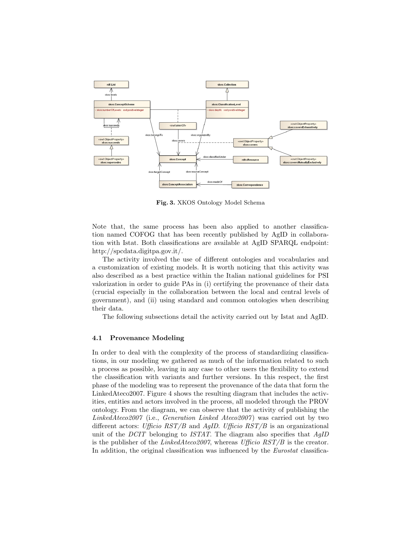

Fig. 3. XKOS Ontology Model Schema

Note that, the same process has been also applied to another classification named COFOG that has been recently published by AgID in collaboration with Istat. Both classifications are available at AgID SPARQL endpoint: http://spcdata.digitpa.gov.it/.

The activity involved the use of different ontologies and vocabularies and a customization of existing models. It is worth noticing that this activity was also described as a best practice within the Italian national guidelines for PSI valorization in order to guide PAs in (i) certifying the provenance of their data (crucial especially in the collaboration between the local and central levels of government), and (ii) using standard and common ontologies when describing their data.

The following subsections detail the activity carried out by Istat and AgID.

#### 4.1 Provenance Modeling

In order to deal with the complexity of the process of standardizing classifications, in our modeling we gathered as much of the information related to such a process as possible, leaving in any case to other users the flexibility to extend the classification with variants and further versions. In this respect, the first phase of the modeling was to represent the provenance of the data that form the LinkedAteco2007. Figure 4 shows the resulting diagram that includes the activities, entities and actors involved in the process, all modeled through the PROV ontology. From the diagram, we can observe that the activity of publishing the LinkedAteco2007 (i.e., Generation Linked Ateco2007) was carried out by two different actors: Ufficio  $RST/B$  and AgID. Ufficio  $RST/B$  is an organizational unit of the DCIT belonging to ISTAT. The diagram also specifies that  $AqID$ is the publisher of the LinkedAteco2007, whereas Ufficio  $RST/B$  is the creator. In addition, the original classification was influenced by the *Eurostat* classifica-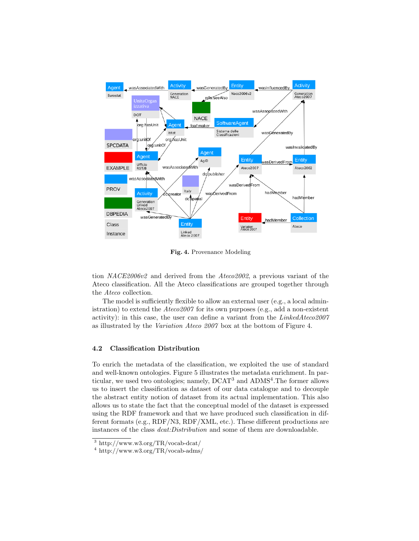

Fig. 4. Provenance Modeling

tion NACE2006v2 and derived from the Ateco2002, a previous variant of the Ateco classification. All the Ateco classifications are grouped together through the Ateco collection.

The model is sufficiently flexible to allow an external user (e.g., a local administration) to extend the  $Ateco2007$  for its own purposes (e.g., add a non-existent activity): in this case, the user can define a variant from the  $LinkedAteco2007$ as illustrated by the Variation Ateco 2007 box at the bottom of Figure 4.

### 4.2 Classification Distribution

To enrich the metadata of the classification, we exploited the use of standard and well-known ontologies. Figure 5 illustrates the metadata enrichment. In particular, we used two ontologies; namely,  $DCAT^3$  and  $ADMS^4$ . The former allows us to insert the classification as dataset of our data catalogue and to decouple the abstract entity notion of dataset from its actual implementation. This also allows us to state the fact that the conceptual model of the dataset is expressed using the RDF framework and that we have produced such classification in different formats (e.g., RDF/N3, RDF/XML, etc.). These different productions are instances of the class dcat:Distribution and some of them are downloadable.

<sup>3</sup> http://www.w3.org/TR/vocab-dcat/

 $4 \frac{\text{http://www.w3.org/TR/vocab-adms)}}{4}$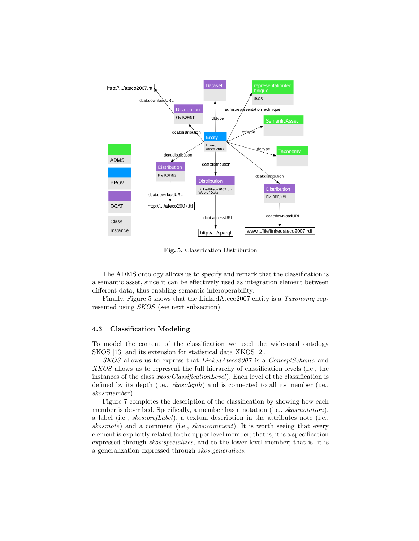

Fig. 5. Classification Distribution

The ADMS ontology allows us to specify and remark that the classification is a semantic asset, since it can be effectively used as integration element between different data, thus enabling semantic interoperability.

Finally, Figure 5 shows that the LinkedAteco2007 entity is a Taxonomy represented using SKOS (see next subsection).

#### 4.3 Classification Modeling

To model the content of the classification we used the wide-used ontology SKOS [13] and its extension for statistical data XKOS [2].

SKOS allows us to express that LinkedAteco2007 is a ConceptSchema and XKOS allows us to represent the full hierarchy of classification levels (i.e., the instances of the class  $x\&os:ClassificationLevel)$ . Each level of the classification is defined by its depth (i.e.,  $x\&os:depth$ ) and is connected to all its member (i.e., skos:member ).

Figure 7 completes the description of the classification by showing how each member is described. Specifically, a member has a notation (i.e., skos:notation), a label (i.e., skos:prefLabel), a textual description in the attributes note (i.e., skos:note) and a comment (i.e., skos:comment). It is worth seeing that every element is explicitly related to the upper level member; that is, it is a specification expressed through skos:specializes, and to the lower level member; that is, it is a generalization expressed through skos:generalizes.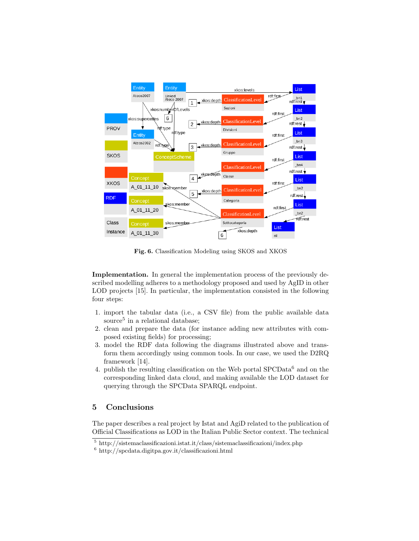

Fig. 6. Classification Modeling using SKOS and XKOS

Implementation. In general the implementation process of the previously described modelling adheres to a methodology proposed and used by AgID in other LOD projects [15]. In particular, the implementation consisted in the following four steps:

- 1. import the tabular data (i.e., a CSV file) from the public available data source<sup>5</sup> in a relational database;
- 2. clean and prepare the data (for instance adding new attributes with composed existing fields) for processing;
- 3. model the RDF data following the diagrams illustrated above and transform them accordingly using common tools. In our case, we used the D2RQ framework [14].
- 4. publish the resulting classification on the Web portal  $SPCData<sup>6</sup>$  and on the corresponding linked data cloud, and making available the LOD dataset for querying through the SPCData SPARQL endpoint.

# 5 Conclusions

The paper describes a real project by Istat and AgiD related to the publication of Official Classifications as LOD in the Italian Public Sector context. The technical

 $\frac{5 \text{ http://sistemaclassificationi.istat.it/class/sistemaclassificationi/index.php}}{5}$ 

<sup>6</sup> http://spcdata.digitpa.gov.it/classificazioni.html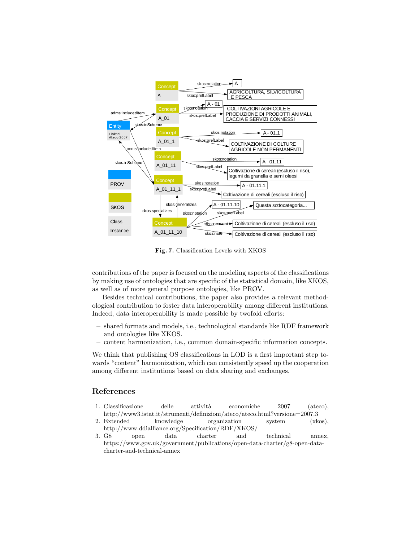

Fig. 7. Classification Levels with XKOS

contributions of the paper is focused on the modeling aspects of the classifications by making use of ontologies that are specific of the statistical domain, like XKOS, as well as of more general purpose ontologies, like PROV.

Besides technical contributions, the paper also provides a relevant methodological contribution to foster data interoperability among different institutions. Indeed, data interoperability is made possible by twofold efforts:

- shared formats and models, i.e., technological standards like RDF framework and ontologies like XKOS.
- content harmonization, i.e., common domain-specific information concepts.

We think that publishing OS classifications in LOD is a first important step towards "content" harmonization, which can consistently speed up the cooperation among different institutions based on data sharing and exchanges.

# References

- 1. Classificazione delle attività economiche 2007 (ateco), http://www3.istat.it/strumenti/definizioni/ateco/ateco.html?versione=2007.3
- 2. Extended knowledge organization system (xkos), http://www.ddialliance.org/Specification/RDF/XKOS/
- 3. G8 open data charter and technical annex, https://www.gov.uk/government/publications/open-data-charter/g8-open-datacharter-and-technical-annex